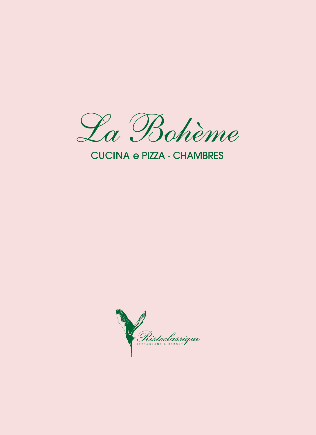

## **CUCINA e PIZZA - CHAMBRES**

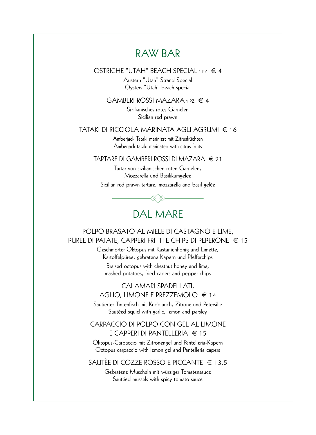### RAW BAR

OSTRICHE "UTAH" BEACH SPECIAL 1 PZ  $\in$  4

Austern "Utah" Strand Special Oysters "Utah" beach special

GAMBERI ROSSI MAZARA 1 PZ  $\in$  4

Sizilianisches rotes Garnelen Sicilian red prawn

#### TATAKI DI RICCIOLA MARINATA AGLI AGRUMI € 16

Amberjack Tataki mariniert mit Zitrusfrüchten Amberjack tataki marinated with citrus fruits

TARTARE DI GAMBERI ROSSI DI MAZARA € 21

Tartar von sizilianischen roten Garnelen, Mozzarella und Basilikumgelee

Sicilian red prawn tartare, mozzarella and basil gelèe



POLPO BRASATO AL MIELE DI CASTAGNO E LIME, PUREE DI PATATE, CAPPERI FRITTI E CHIPS DI PEPERONE € 15

> Geschmorter Oktopus mit Kastanienhonig und Limette, Kartoffelpüree, gebratene Kapern und Pfefferchips Braised octopus with chestnut honey and lime,

mashed potatoes, fried capers and pepper chips

CALAMARI SPADELLATI, AGLIO, LIMONE E PREZZEMOLO  $\in$  14

Sautierter Tintenfisch mit Knoblauch, Zitrone und Petersilie Sautéed squid with garlic, lemon and parsley

CARPACCIO DI POLPO CON GEL AL LIMONE E CAPPERI DI PANTELLERIA € 15

Oktopus-Carpaccio mit Zitronengel und Pantelleria-Kapern Octopus carpaccio with lemon gel and Pantelleria capers

SAUTÈE DI COZZE ROSSO E PICCANTE € 13.5

Gebratene Muscheln mit würziger Tomatensauce Sautéed mussels with spicy tomato sauce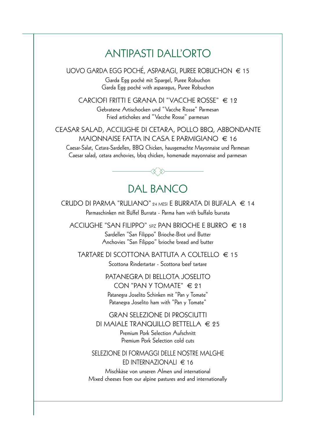# ANTIPASTI DALL'ORTO

UOVO GARDA EGG POCHÉ, ASPARAGI, PUREE ROBUCHON € 15 Garda Egg poché mit Spargel, Puree Robuchon Garda Egg poché with asparagus, Puree Robuchon

CARCIOFI FRITTI E GRANA DI "VACCHE ROSSE" € 12 Gebratene Artischocken und "Vacche Rosse" Parmesan Fried artichokes and "Vacche Rosse" parmesan

CEASAR SALAD, ACCIUGHE DI CETARA, POLLO BBQ, ABBONDANTE MAIONNAISE FATTA IN CASA E PARMIGIANO  $\in$  16

Caesar-Salat, Cetara-Sardellen, BBQ Chicken, hausgemachte Mayonnaise und Parmesan Caesar salad, cetara anchovies, bbq chicken, homemade mayonnaise and parmesan



### DAL BANCO

CRUDO DI PARMA "RULIANO" 24 MESI E BURRATA DI BUFALA  $\in$  14 Parmaschinken mit Büffel Burrata - Parma ham with buffalo burrata

ACCIUGHE "SAN FILIPPO"  $_{5}$ PZ PAN BRIOCHE E BURRO  $\in$  18 Sardellen "San Filippo" Brioche-Brot und Butter Anchovies "San Filippo" brioche bread and butter

TARTARE DI SCOTTONA BATTUTA A COLTELLO € 15

Scottona Rindertartar - Scottona beef tartare

### PATANEGRA DI BELLOTA JOSELITO CON "PAN Y TOMATE"  $\in$  21 Patanegra Joselito Schinken mit "Pan y Tomate"

Patanegra Joselito ham with "Pan y Tomate"

#### GRAN SELEZIONE DI PROSCIUTTI DI MAIALE TRANQUILLO BETTELLA  $\in$  25

Premium Pork Selection Aufschnitt Premium Pork Selection cold cuts

### SELEZIONE DI FORMAGGI DELLE NOSTRE MALGHE ED INTERNAZIONALI  $\in$  16

Mischkäse von unseren Almen und international Mixed cheeses from our alpine pastures and and internationally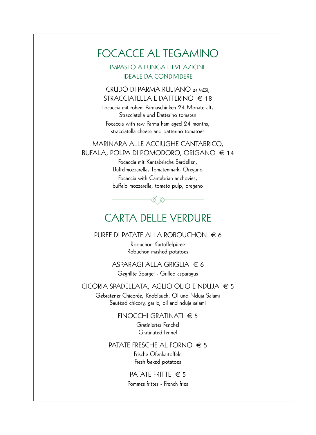## FOCACCE AL TEGAMINO

IMPASTO A LUNGA LIEVITAZIONE IDEALE DA CONDIVIDERE

CRUDO DI PARMA RULIANO 24 MESI, STRACCIATELLA E DATTERINO  $\in$  18

Focaccia mit rohem Parmaschinken 24 Monate alt, Stracciatella und Datterino tomaten

Focaccia with raw Parma ham aged 24 months, stracciatella cheese and datterino tomatoes

### MARINARA ALLE ACCIUGHE CANTABRICO, BUFALA, POLPA DI POMODORO, ORIGANO € 14

Focaccia mit Kantabrische Sardellen, Büffelmozzarella, Tomatenmark, Oregano Focaccia with Cantabrian anchovies, buffalo mozzarella, tomato pulp, oregano

# CARTA DELLE VERDURE

PUREE DI PATATE ALLA ROBOUCHON  $\in$  6

Robuchon Kartoffelpüree Robuchon mashed potatoes

ASPARAGI ALLA GRIGLIA € 6 Gegrillte Spargel - Grilled asparagus

CICORIA SPADELLATA, AGLIO OLIO E NDUJA € 5

Gebratener Chicorée, Knoblauch, Öl und Nduja Salami Sautéed chicory, garlic, oil and nduja salami

> FINOCCHI GRATINATI  $\epsilon$  5 Gratinierter Fenchel Gratinated fennel

#### PATATE FRESCHE AL FORNO  $\in$  5

Frische Ofenkartoffeln Fresh baked potatoes

PATATE FRITTE  $\in$  5 Pommes frittes - French fries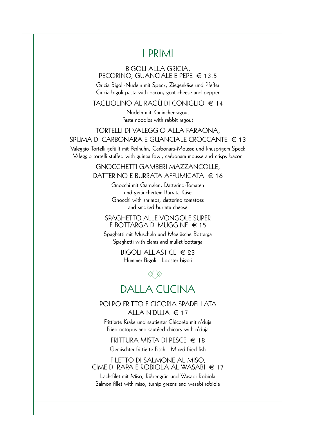## **I PRIMI**

#### **BIGOLI ALLA GRICIA,** PECORINO, GUANCIALE E PEPE  $\in$  13.5

Gricia Bigoli-Nudeln mit Speck, Ziegenkäse und Pfeffer Gricia bigoli pasta with bacon, goat cheese and pepper

TAGLIOLINO AL RAGÙ DI CONIGLIO  $\in$  14

Nudeln mit Kaninchenragout Pasta noodles with rabbit ragout

### TORTELLI DI VALEGGIO ALLA FARAONA, SPUMA DI CARBONARA E GUANCIAI E CROCCANTE  $\in$  13

Valeggio Tortelli gefüllt mit Perlhuhn, Carbonara-Mousse und knusprigem Speck Valeggio tortelli stuffed with guinea fowl, carbonara mousse and crispy bacon

> **GNOCCHETTI GAMBERI MAZZANCOLLE,** DATTERINO E BURRATA AFFUMICATA  $\in$  16

> > Gnocchi mit Garnelen, Datterino-Tomaten und geräuchertem Burrata Käse Gnocchi with shrimps, datterino tomatoes and smoked burrata cheese

#### **SPAGHETTO ALLE VONGOLE SUPER** E BOTTARGA DI MUGGINE  $\in$  15

Spaghetti mit Muscheln und Meeräsche Bottarga Spaghetti with clams and mullet bottarga

> BIGOLI ALL'ASTICE  $\in$  23 Hummer Bigoli - Lobster bigoli

# **DALLA CUCINA**

POLPO FRITTO E CICORIA SPADELLATA ALLA N'DUJA  $\in$  17

Frittierte Krake und sautierter Chicorée mit n'duja Fried octopus and sautéed chicory with n'duja

FRITTURA MISTA DI PESCE  $\in$  18 Gemischter frittierte Fisch - Mixed fried fish

FILETTO DI SALMONE AL MISO, CIME DI RAPA E ROBIOI A AL WASABLE 17

Lachsfilet mit Miso, Rübengrün und Wasabi-Robiola Salmon fillet with miso, turnip greens and wasabi robiola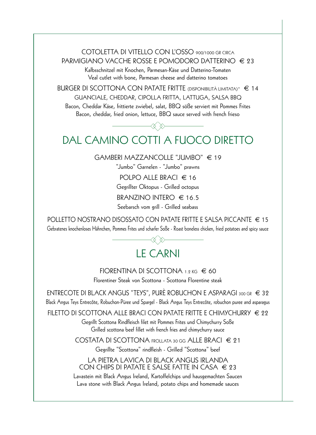COTOLETTA DI VITELLO CON L'OSSO 900/1000 GR CIRCA PARMIGIANO VACCHE ROSSE E POMODORO DATTERINO  $\in$  23

> Kalbsschnitzel mit Knochen, Parmesan-Käse und Datterino-Tomaten Veal cutlet with bone, Parmesan cheese and datterino tomatoes

BURGER DI SCOTTONA CON PATATE FRITTE (DISPONIBILITÀ LIMITATA)\*  $\in$  14 GUANCIALE, CHEDDAR, CIPOLLA FRITTA, LATTUGA, SALSA BBQ

Bacon, Cheddar Käse, frittierte zwiebel, salat, BBQ söße serviert mit Pommes Frites Bacon, cheddar, fried onion, lettuce, BBQ sauce served with french frieso

# DAL CAMINO COTTI A FUOCO DIRETTO

GAMBERI MAZZANCOLLE "JUMBO"  $\in$  19

"Jumbo" Garnelen - "Jumbo" prawns

POLPO ALLE BRACI  $\in$  16

Gegrillter Oktopus - Grilled octopus

BRANZINO INTERO  $\in$  16.5

Seebarsch vom grill - Grilled seabass

POLLETTO NOSTRANO DISOSSATO CON PATATE FRITTE E SALSA PICCANTE  $\in$  15 Gebratenes knochenloses Hähnchen, Pommes Frites und scharfer Soße - Roast boneless chicken, fried potatoes and spicy sauce

# **LE CARNI**

FIORENTINA DI SCOTTONA 1.2 KG  $\in$  60 Florentiner Steak von Scottona - Scottona Florentine steak

ENTRECOTE DI BLACK ANGUS "TEYS", PURÈ ROBUCHON E ASPARAGI 300 GR  $\in$  32 Black Angus Teys Entrecôte, Robuchon-Püree und Spargel - Black Angus Teys Entrecôte, robuchon puree and asparagus

FILETTO DI SCOTTONA ALLE BRACI CON PATATE FRITTE E CHIMYCHURRY  $\in$  22

Gegrillt Scottona Rindfleisch filet mit Pommes Frites und Chimychurry Soße Grilled scottona beef fillet with french fries and chimychurry sauce

COSTATA DI SCOTTONA FROLLATA 30 GG ALLE BRACI € 21

Gegrillte "Scottona" rindfleish - Grilled "Scottona" beef

#### LA PIETRA LAVICA DI BLACK ANGUS IRLANDA CON CHIPS DI PATATE E SALSE FATTE IN CASA  $\in$  23

Lavastein mit Black Angus Ireland, Kartoffelchips und hausgemachten Saucen Lava stone with Black Angus Ireland, potato chips and homemade sauces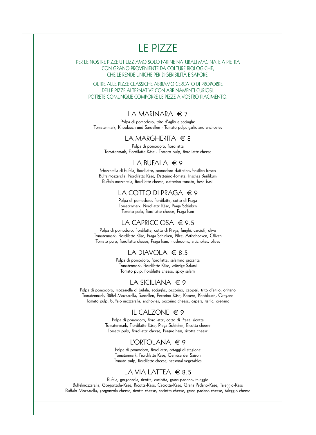# LE PIZZE

PER LE NOSTRE PIZZE UTILIZZIAMO SOLO FARINE NATURALI MACINATE A PIETRA CON GRANO PROVENIENTE DA COLTURE BIOLOGICHE, CHE LE RENDE UNICHE PER DIGERIBILITÀ E SAPORE.

OLTRE ALLE PIZZE CLASSICHE ABBIAMO CERCATO DI PROPORRE DELLE PIZZE ALTERNATIVE CON ABBINAMENTI CURIOSI. POTRETE COMUNQUE COMPORRE LE PIZZE A VOSTRO PIACIMENTO.

#### LA MARINARA  $\in$  7

Polpa di pomodoro, trito d'aglio e acciughe Tomatenmark, Knoblauch und Sardellen - Tomato pulp, garlic and anchovies

#### LA MARGHERITA  $\in$  8

Polpa di pomodoro, fiordilatte Tomatenmark, Fiordilatte Käse - Tomato pulp, fiordilatte cheese

#### LA BUFALA  $\in$  9

Mozzarella di bufala, fiordilatte, pomodoro datterino, basilico fresco Büffelmozzarella, Fiordilatte Käse, Datterino-Tomate, frisches Basilikum Buffalo mozzarella, fiordilatte cheese, datterino tomato, fresh basil

#### LA COTTO DI PRAGA  $\in$  9

Polpa di pomodoro, fiordilatte, cotto di Praga Tomatenmark, Fiordilatte Käse, Praga Schinken Tomato pulp, fiordilatte cheese, Praga ham

#### LA CAPRICCIOSA € 9.5

Polpa di pomodoro, fiordilatte, cotto di Praga, funghi, carciofi, olive Tomatenmark, Fiordilatte Käse, Praga Schinken, Pilze, Artischocken, Oliven Tomato pulp, fiordilatte cheese, Praga ham, mushrooms, artichokes, olives

#### LA DIAVOLA  $\in$  8.5

Polpa di pomodoro, fiordilatte, salamino piccante Tomatenmark, Fiordilatte Käse, würzige Salami Tomato pulp, fiordilatte cheese, spicy salami

#### LA SICILIANA  $\in$  9

Polpa di pomodoro, mozzarella di bufala, acciughe, pecorino, capperi, trito d'aglio, origano Tomatenmark, Büffel-Mozzarella, Sardellen, Pecorino-Käse, Kapern, Knoblauch, Oregano Tomato pulp, buffalo mozzarella, anchovies, pecorino cheese, capers, garlic, oregano

#### IL CALZONE  $\in$  9

Polpa di pomodoro, fiordilatte, cotto di Praga, ricotta Tomatenmark, Fiordilatte Käse, Praga Schinken, Ricotta cheese Tomato pulp, fiordilatte cheese, Prague ham, ricotta cheese

#### L'ORTOLANA  $\in$  9

Polpa di pomodoro, fiordilatte, ortaggi di stagione Tomatenmark, Fiordilatte Käse, Gemüse der Saison Tomato pulp, fiordilatte cheese, seasonal vegetables

#### LA VIA LATTEA  $\in$  8.5

Bufala, gorgonzola, ricotta, caciotta, grana padano, taleggio Büffelmozzarella, Gorgonzola-Käse, Ricotta-Käse, Caciotta-Käse, Grana Padano-Käse, Taleggio-Käse Buffalo Mozzarella, gorgonzola cheese, ricotta cheese, caciotta cheese, grana padano cheese, taleggio cheese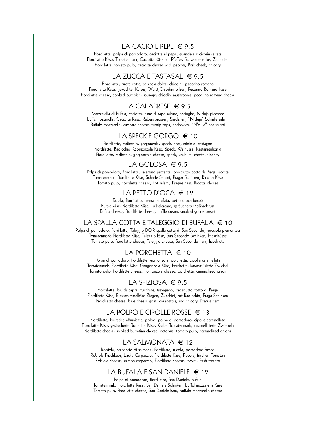#### LA CACIO F PFPF  $\in$  9.5

Fiordilatte, polpa di pomodoro, caciotta al pepe, guanciale e cicoria saltata Fiordilatte Käse, Tomatenmark, Caciotta-Käse mit Pfeffer, Schweinebacke, Zichorien Fiordilatte, tomato pulp, caciotta cheese with pepper, Pork cheek, chicory

#### LA ZUCCA E TASTASAL  $\in$  9.5

Fiordilatte, zucca cotta, salsiccia dolce, chiodini, pecorino romano Fiordilatte Käse, gekochter Kürbis, Wurst,Chiodini pilzen, Pecorino Romano Käse Fiordilatte cheese, cooked pumpkin, sausage, chiodini mushrooms, pecorino romano cheese

#### LA CALABRESE  $\in$  9.5

Mozzarella di bufala, caciotta, cime di rapa saltate, acciughe, N'duja piccante Büffelmozzarella, Caciotta Käse, Rübensprossen, Sardellen, "N'duja" Scharfe salami Buffalo mozzarella, caciotta cheese, turnip tops, anchovies, "N'duja" hot salami

#### LA SPECK E GORGO  $\in$  10

Fiordilatte, radicchio, gorgonzola, speck, noci, miele di castagno Fiordilatte, Radicchio, Gorgonzola Käse, Speck, Walnüsse, Kastanienhonig Fiordilatte, radicchio, gorgonzola cheese, speck, walnuts, chestnut honey

#### LA GOLOSA  $\in$  9.5

Polpa di pomodoro, fiordilatte, salamino piccante, prosciutto cotto di Praga, ricotta Tomatenmark, Fiordilatte Käse, Scharfe Salami, Prager Schinken, Ricotta Käse Tomato pulp, fiordilatte cheese, hot salami, Prague ham, Ricotta cheese

#### LA PETTO D'OCA € 12

Bufala, fiordilatte, crema tartufata, petto d'oca fumeé Bufala käse, Fiordilatte Käse, Trüffelcreme, geräucherter Gänsebrust Bufala cheese, Fiordilatte cheese, truffle cream, smoked goose breast

#### LA SPALLA COTTA E TALEGGIO DI BUFALA € 10

Polpa di pomodoro, fiordilatte, Taleggio DOP, spalla cotta di San Secondo, nocciole piemontesi Tomatenmark, Fiordilatte Käse, Taleggio käse, San Secondo Schinken, Haselnüsse Tomato pulp, fiordilatte cheese, Taleggio cheese, San Secondo ham, hazelnuts

#### LA PORCHETTA  $\in$  10

Polpa di pomodoro, fiordilatte, gorgonzola, porchetta, cipolla caramellata Tomatenmark, Fiordilatte Käse, Gorgonzola Käse, Porchetta, karamellisierte Zwiebel Tomato pulp, fiordilatte cheese, gorgonzola cheese, porchetta, caramelized onion

#### LA SFIZIOSA  $\in$  9.5

Fiordilatte, blu di capra, zucchine, trevigiano, prosciutto cotto di Praga Fiordilatte Käse, Blauschimmelkäse Ziegen, Zucchini, rot Radicchio, Praga Schinken Fiordilatte cheese, blue cheese goat, courgettes, red chicory, Prague ham

#### LA POLPO E CIPOLLE ROSSE  $\in$  13

Fiordilatte, burratina affumicata, polpo, polpa di pomodoro, cipolle caramellate Fiordilatte Käse, geräucherte Burratina Käse, Krake, Tomatenmark, karamellisierte Zwiebeln Fiordilatte cheese, smoked burratina cheese, octopus, tomato pulp, caramelized onions

#### LA SALMONATA  $\in$  19

Robiola, carpaccio di salmone, fiordilatte, rucola, pomodoro fresco Robiola-Frischkäse, Lachs-Carpaccio, Fiordilatte Käse, Rucola, frischen Tomaten Robiola cheese, salmon carpaccio, Fiordilatte cheese, rocket, fresh tomato

#### LA BUFALA E SAN DANIELE  $\in$  12

Polpa di pomodoro, fiordilatte, San Daniele, bufala Tomatenmark, Fiordilatte Käse, San Daniele Schinken, Büffel mozzarella Käse Tomato pulp, fiordilatte cheese, San Daniele ham, buffalo mozzarella cheese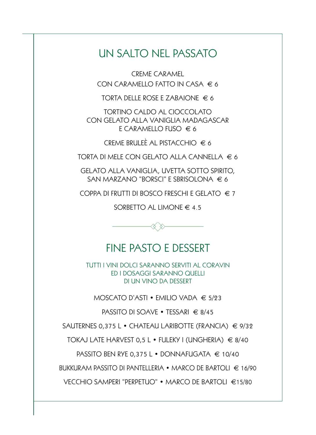## UN SALTO NEL PASSATO

CREME CARAMEL CON CARAMELLO FATTO IN CASA  $\in$  6

TORTA DELLE ROSE E ZABAIONE  $\in$  6

TORTINO CALDO AL CIOCCOLATO CON GELATO ALLA VANIGLIA MADAGASCAR E CARAMELLO FUSO  $\in$  6

CREME BRULEÈ AL PISTACCHIO  $\in$  6

TORTA DI MELE CON GELATO ALLA CANNELLA  $\epsilon$  6

GELATO ALLA VANIGLIA, UVETTA SOTTO SPIRITO, SAN MARZANO "BORSCI" E SBRISOLONA € 6

COPPA DI FRUTTI DI BOSCO FRESCHI E GELATO  $\in$  7

SORBETTO AL LIMONE  $\in$  4.5



## FINE PASTO E DESSERT

TUTTI I VINI DOLCI SARANNO SERVITI AL CORAVIN ED I DOSAGGI SARANNO QUELLI DI UN VINO DA DESSERT

MOSCATO D'ASTI • EMILIO VADA € 5/23

PASSITO DI SOAVE • TESSARI € 8/45

SAUTERNES 0,375 L • CHATEAU LARIBOTTE (FRANCIA)  $\in$  9/32

TOKAJ LATE HARVEST 0,5 L • FULEKY I (UNGHERIA) € 8/40

PASSITO BEN RYE 0,375 L • DONNAFUGATA € 10/40

BUKKURAM PASSITO DI PANTELLERIA • MARCO DE BARTOLI € 16/90

VECCHIO SAMPERI "PERPETUO" • MARCO DE BARTOLI €15/80